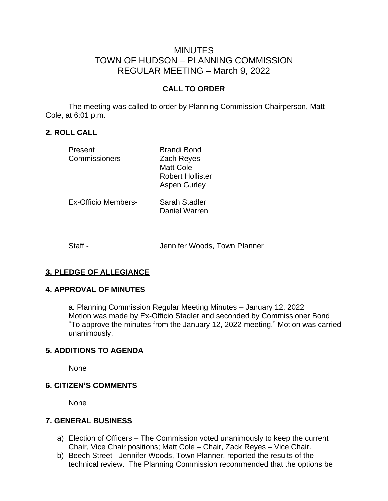# MINUTES TOWN OF HUDSON – PLANNING COMMISSION REGULAR MEETING – March 9, 2022

### **CALL TO ORDER**

The meeting was called to order by Planning Commission Chairperson, Matt Cole, at 6:01 p.m.

### **2. ROLL CALL**

| Present             | <b>Brandi Bond</b>      |
|---------------------|-------------------------|
| Commissioners -     | Zach Reyes              |
|                     | <b>Matt Cole</b>        |
|                     | <b>Robert Hollister</b> |
|                     | <b>Aspen Gurley</b>     |
| Ex-Officio Members- | Sarah Stadler           |
|                     | Daniel Warren           |
|                     |                         |

Staff - Staff - Staff - Jennifer Woods, Town Planner

#### **3. PLEDGE OF ALLEGIANCE**

#### **4. APPROVAL OF MINUTES**

a. Planning Commission Regular Meeting Minutes – January 12, 2022 Motion was made by Ex-Officio Stadler and seconded by Commissioner Bond "To approve the minutes from the January 12, 2022 meeting." Motion was carried unanimously.

#### **5. ADDITIONS TO AGENDA**

None

#### **6. CITIZEN'S COMMENTS**

None

#### **7. GENERAL BUSINESS**

- a) Election of Officers The Commission voted unanimously to keep the current Chair, Vice Chair positions; Matt Cole – Chair, Zack Reyes – Vice Chair.
- b) Beech Street Jennifer Woods, Town Planner, reported the results of the technical review. The Planning Commission recommended that the options be